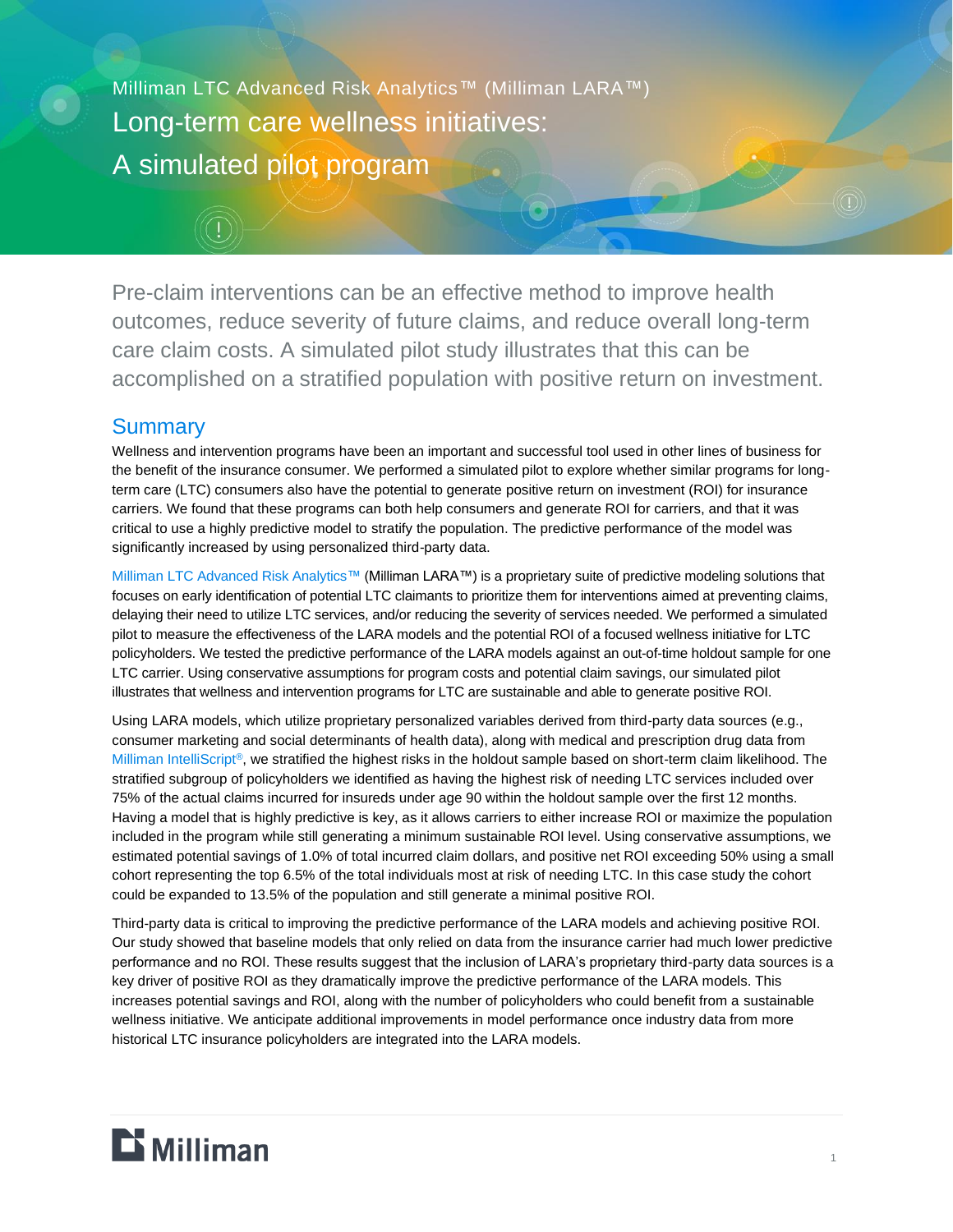Milliman LTC Advanced Risk Analytics™ (Milliman LARA™) Long-term care wellness initiatives: A simulated pilot program

Pre-claim interventions can be an effective method to improve health outcomes, reduce severity of future claims, and reduce overall long-term care claim costs. A simulated pilot study illustrates that this can be accomplished on a stratified population with positive return on investment.

## **Summary**

Wellness and intervention programs have been an important and successful tool used in other lines of business for the benefit of the insurance consumer. We performed a simulated pilot to explore whether similar programs for longterm care (LTC) consumers also have the potential to generate positive return on investment (ROI) for insurance carriers. We found that these programs can both help consumers and generate ROI for carriers, and that it was critical to use a highly predictive model to stratify the population. The predictive performance of the model was significantly increased by using personalized third-party data.

[Milliman LTC Advanced Risk Analytics™](https://www.milliman.com/en/products/LARA) (Milliman LARA™) is a proprietary suite of predictive modeling solutions that focuses on early identification of potential LTC claimants to prioritize them for interventions aimed at preventing claims, delaying their need to utilize LTC services, and/or reducing the severity of services needed. We performed a simulated pilot to measure the effectiveness of the LARA models and the potential ROI of a focused wellness initiative for LTC policyholders. We tested the predictive performance of the LARA models against an out-of-time holdout sample for one LTC carrier. Using conservative assumptions for program costs and potential claim savings, our simulated pilot illustrates that wellness and intervention programs for LTC are sustainable and able to generate positive ROI.

Using LARA models, which utilize proprietary personalized variables derived from third-party data sources (e.g., consumer marketing and social determinants of health data), along with medical and prescription drug data from [Milliman IntelliScript](https://www.rxhistories.com/)®, we stratified the highest risks in the holdout sample based on short-term claim likelihood. The stratified subgroup of policyholders we identified as having the highest risk of needing LTC services included over 75% of the actual claims incurred for insureds under age 90 within the holdout sample over the first 12 months. Having a model that is highly predictive is key, as it allows carriers to either increase ROI or maximize the population included in the program while still generating a minimum sustainable ROI level. Using conservative assumptions, we estimated potential savings of 1.0% of total incurred claim dollars, and positive net ROI exceeding 50% using a small cohort representing the top 6.5% of the total individuals most at risk of needing LTC. In this case study the cohort could be expanded to 13.5% of the population and still generate a minimal positive ROI.

Third-party data is critical to improving the predictive performance of the LARA models and achieving positive ROI. Our study showed that baseline models that only relied on data from the insurance carrier had much lower predictive performance and no ROI. These results suggest that the inclusion of LARA's proprietary third-party data sources is a key driver of positive ROI as they dramatically improve the predictive performance of the LARA models. This increases potential savings and ROI, along with the number of policyholders who could benefit from a sustainable wellness initiative. We anticipate additional improvements in model performance once industry data from more historical LTC insurance policyholders are integrated into the LARA models.

# $\mathbf{D}$  Milliman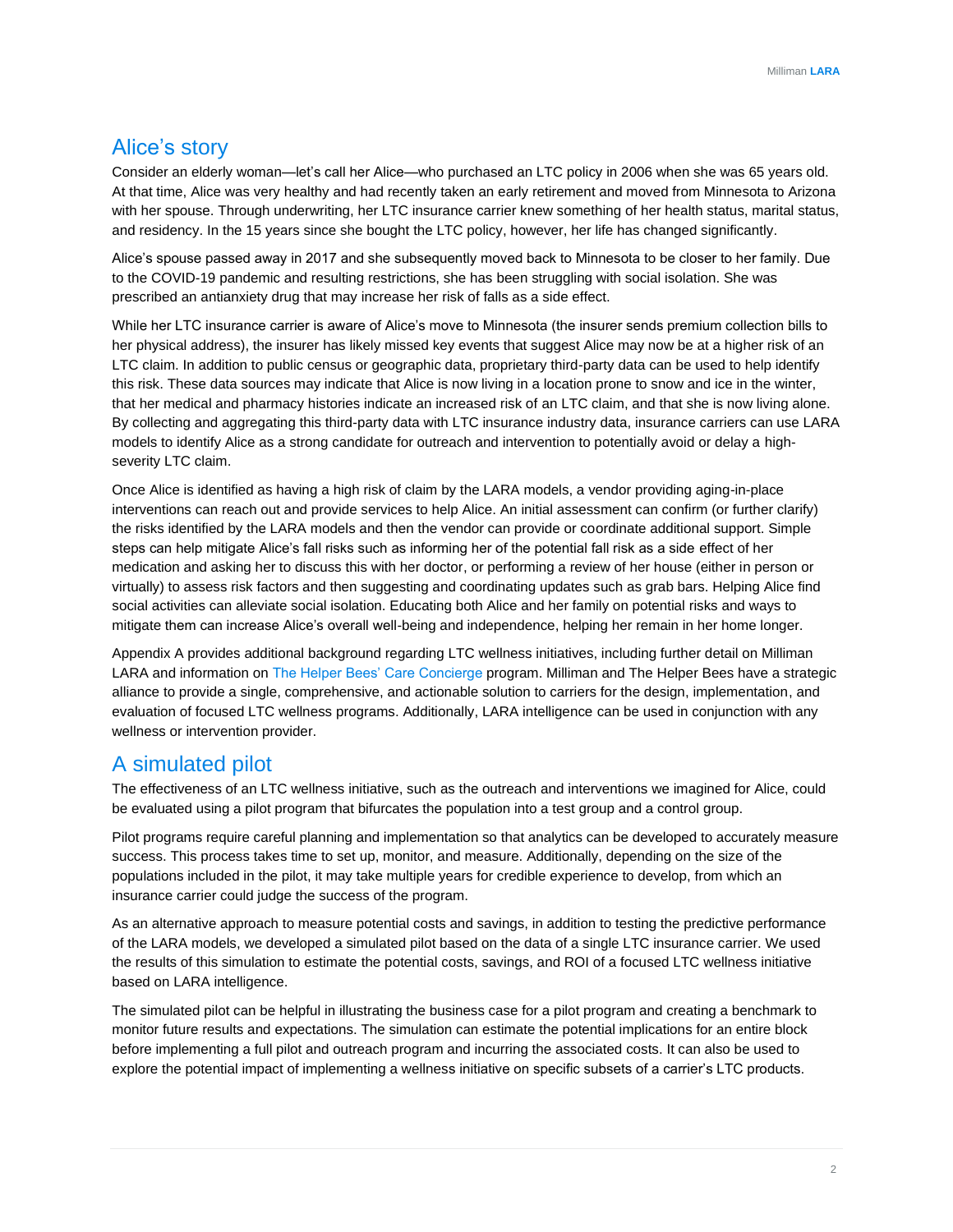## Alice's story

Consider an elderly woman—let's call her Alice—who purchased an LTC policy in 2006 when she was 65 years old. At that time, Alice was very healthy and had recently taken an early retirement and moved from Minnesota to Arizona with her spouse. Through underwriting, her LTC insurance carrier knew something of her health status, marital status, and residency. In the 15 years since she bought the LTC policy, however, her life has changed significantly.

Alice's spouse passed away in 2017 and she subsequently moved back to Minnesota to be closer to her family. Due to the COVID-19 pandemic and resulting restrictions, she has been struggling with social isolation. She was prescribed an antianxiety drug that may increase her risk of falls as a side effect.

While her LTC insurance carrier is aware of Alice's move to Minnesota (the insurer sends premium collection bills to her physical address), the insurer has likely missed key events that suggest Alice may now be at a higher risk of an LTC claim. In addition to public census or geographic data, proprietary third-party data can be used to help identify this risk. These data sources may indicate that Alice is now living in a location prone to snow and ice in the winter, that her medical and pharmacy histories indicate an increased risk of an LTC claim, and that she is now living alone. By collecting and aggregating this third-party data with LTC insurance industry data, insurance carriers can use LARA models to identify Alice as a strong candidate for outreach and intervention to potentially avoid or delay a highseverity LTC claim.

Once Alice is identified as having a high risk of claim by the LARA models, a vendor providing aging-in-place interventions can reach out and provide services to help Alice. An initial assessment can confirm (or further clarify) the risks identified by the LARA models and then the vendor can provide or coordinate additional support. Simple steps can help mitigate Alice's fall risks such as informing her of the potential fall risk as a side effect of her medication and asking her to discuss this with her doctor, or performing a review of her house (either in person or virtually) to assess risk factors and then suggesting and coordinating updates such as grab bars. Helping Alice find social activities can alleviate social isolation. Educating both Alice and her family on potential risks and ways to mitigate them can increase Alice's overall well-being and independence, helping her remain in her home longer.

Appendix A provides additional background regarding LTC wellness initiatives, including further detail on Milliman LARA and information on [The Helper Bees' Care Concierge](https://www.thehelperbees.com/businesses/care-concierge/) program. Milliman and The Helper Bees have a strategic alliance to provide a single, comprehensive, and actionable solution to carriers for the design, implementation, and evaluation of focused LTC wellness programs. Additionally, LARA intelligence can be used in conjunction with any wellness or intervention provider.

## A simulated pilot

The effectiveness of an LTC wellness initiative, such as the outreach and interventions we imagined for Alice, could be evaluated using a pilot program that bifurcates the population into a test group and a control group.

Pilot programs require careful planning and implementation so that analytics can be developed to accurately measure success. This process takes time to set up, monitor, and measure. Additionally, depending on the size of the populations included in the pilot, it may take multiple years for credible experience to develop, from which an insurance carrier could judge the success of the program.

As an alternative approach to measure potential costs and savings, in addition to testing the predictive performance of the LARA models, we developed a simulated pilot based on the data of a single LTC insurance carrier. We used the results of this simulation to estimate the potential costs, savings, and ROI of a focused LTC wellness initiative based on LARA intelligence.

The simulated pilot can be helpful in illustrating the business case for a pilot program and creating a benchmark to monitor future results and expectations. The simulation can estimate the potential implications for an entire block before implementing a full pilot and outreach program and incurring the associated costs. It can also be used to explore the potential impact of implementing a wellness initiative on specific subsets of a carrier's LTC products.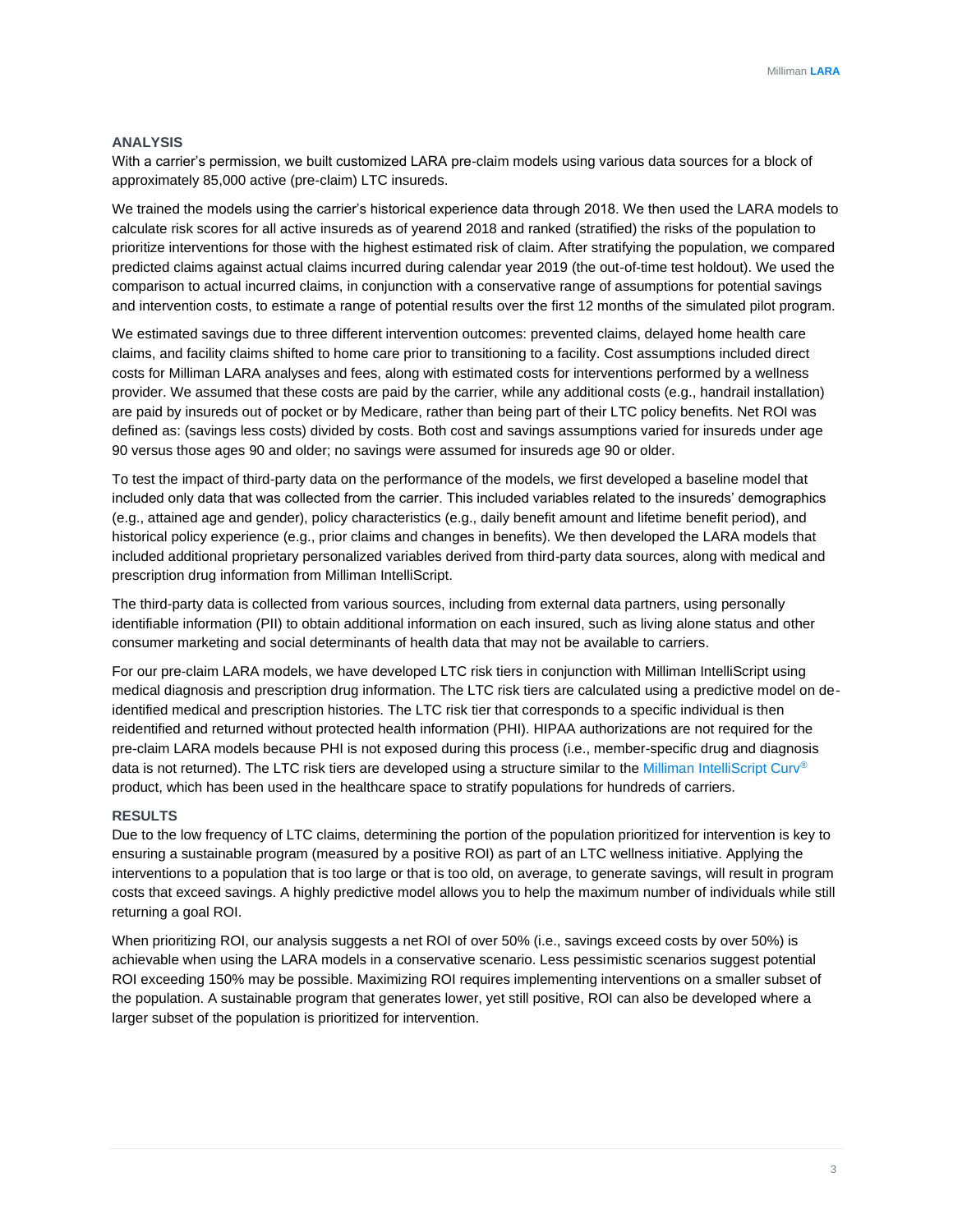#### **ANALYSIS**

With a carrier's permission, we built customized LARA pre-claim models using various data sources for a block of approximately 85,000 active (pre-claim) LTC insureds.

We trained the models using the carrier's historical experience data through 2018. We then used the LARA models to calculate risk scores for all active insureds as of yearend 2018 and ranked (stratified) the risks of the population to prioritize interventions for those with the highest estimated risk of claim. After stratifying the population, we compared predicted claims against actual claims incurred during calendar year 2019 (the out-of-time test holdout). We used the comparison to actual incurred claims, in conjunction with a conservative range of assumptions for potential savings and intervention costs, to estimate a range of potential results over the first 12 months of the simulated pilot program.

We estimated savings due to three different intervention outcomes: prevented claims, delayed home health care claims, and facility claims shifted to home care prior to transitioning to a facility. Cost assumptions included direct costs for Milliman LARA analyses and fees, along with estimated costs for interventions performed by a wellness provider. We assumed that these costs are paid by the carrier, while any additional costs (e.g., handrail installation) are paid by insureds out of pocket or by Medicare, rather than being part of their LTC policy benefits. Net ROI was defined as: (savings less costs) divided by costs. Both cost and savings assumptions varied for insureds under age 90 versus those ages 90 and older; no savings were assumed for insureds age 90 or older.

To test the impact of third-party data on the performance of the models, we first developed a baseline model that included only data that was collected from the carrier. This included variables related to the insureds' demographics (e.g., attained age and gender), policy characteristics (e.g., daily benefit amount and lifetime benefit period), and historical policy experience (e.g., prior claims and changes in benefits). We then developed the LARA models that included additional proprietary personalized variables derived from third-party data sources, along with medical and prescription drug information from Milliman IntelliScript.

The third-party data is collected from various sources, including from external data partners, using personally identifiable information (PII) to obtain additional information on each insured, such as living alone status and other consumer marketing and social determinants of health data that may not be available to carriers.

For our pre-claim LARA models, we have developed LTC risk tiers in conjunction with Milliman IntelliScript using medical diagnosis and prescription drug information. The LTC risk tiers are calculated using a predictive model on deidentified medical and prescription histories. The LTC risk tier that corresponds to a specific individual is then reidentified and returned without protected health information (PHI). HIPAA authorizations are not required for the pre-claim LARA models because PHI is not exposed during this process (i.e., member-specific drug and diagnosis data is not returned). The LTC risk tiers are developed using a structure similar to the [Milliman IntelliScript Curv](https://www.rxhistories.com/curv/)® product, which has been used in the healthcare space to stratify populations for hundreds of carriers.

#### **RESULTS**

Due to the low frequency of LTC claims, determining the portion of the population prioritized for intervention is key to ensuring a sustainable program (measured by a positive ROI) as part of an LTC wellness initiative. Applying the interventions to a population that is too large or that is too old, on average, to generate savings, will result in program costs that exceed savings. A highly predictive model allows you to help the maximum number of individuals while still returning a goal ROI.

When prioritizing ROI, our analysis suggests a net ROI of over 50% (i.e., savings exceed costs by over 50%) is achievable when using the LARA models in a conservative scenario. Less pessimistic scenarios suggest potential ROI exceeding 150% may be possible. Maximizing ROI requires implementing interventions on a smaller subset of the population. A sustainable program that generates lower, yet still positive, ROI can also be developed where a larger subset of the population is prioritized for intervention.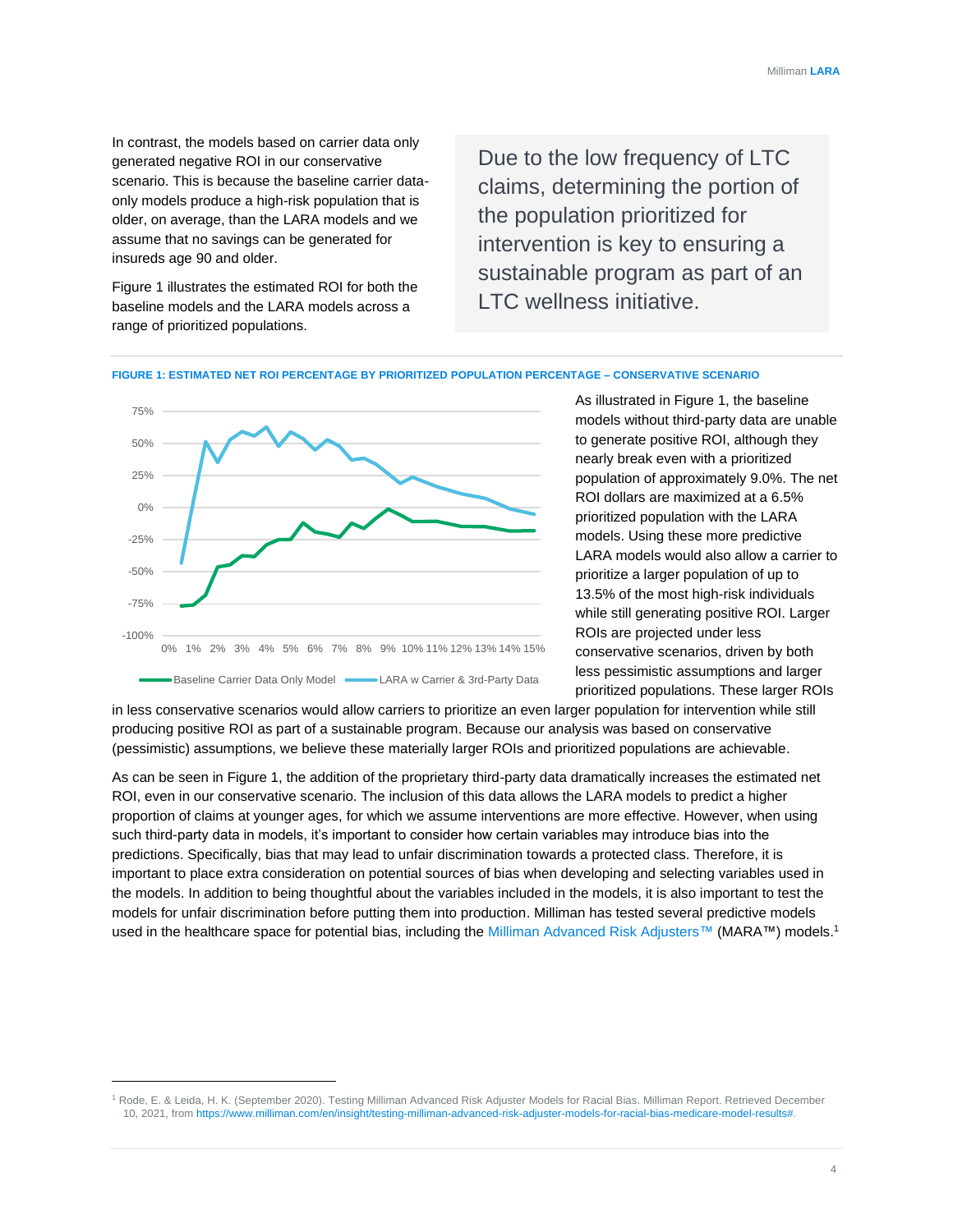In contrast, the models based on carrier data only generated negative ROI in our conservative scenario. This is because the baseline carrier dataonly models produce a high-risk population that is older, on average, than the LARA models and we assume that no savings can be generated for insureds age 90 and older.

Figure 1 illustrates the estimated ROI for both the baseline models and the LARA models across a range of prioritized populations.

Due to the low frequency of LTC claims, determining the portion of the population prioritized for intervention is key to ensuring a sustainable program as part of an LTC wellness initiative.





As illustrated in Figure 1, the baseline models without third-party data are unable to generate positive ROI, although they nearly break even with a prioritized population of approximately 9.0%. The net ROI dollars are maximized at a 6.5% prioritized population with the LARA models. Using these more predictive LARA models would also allow a carrier to prioritize a larger population of up to 13.5% of the most high-risk individuals while still generating positive ROI. Larger ROIs are projected under less conservative scenarios, driven by both less pessimistic assumptions and larger prioritized populations. These larger ROIs

in less conservative scenarios would allow carriers to prioritize an even larger population for intervention while still producing positive ROI as part of a sustainable program. Because our analysis was based on conservative (pessimistic) assumptions, we believe these materially larger ROIs and prioritized populations are achievable.

As can be seen in Figure 1, the addition of the proprietary third-party data dramatically increases the estimated net ROI, even in our conservative scenario. The inclusion of this data allows the LARA models to predict a higher proportion of claims at younger ages, for which we assume interventions are more effective. However, when using such third-party data in models, it's important to consider how certain variables may introduce bias into the predictions. Specifically, bias that may lead to unfair discrimination towards a protected class. Therefore, it is important to place extra consideration on potential sources of bias when developing and selecting variables used in the models. In addition to being thoughtful about the variables included in the models, it is also important to test the models for unfair discrimination before putting them into production. Milliman has tested several predictive models used in the healthcare space for potential bias, including th[e Milliman Advanced Risk Adjusters™](https://us.milliman.com/en/products/mara) (MARA™) models.<sup>1</sup>

<sup>1</sup> Rode, E. & Leida, H. K. (September 2020). Testing Milliman Advanced Risk Adjuster Models for Racial Bias. Milliman Report. Retrieved December 10, 2021, fro[m https://www.milliman.com/en/insight/testing-milliman-advanced-risk-adjuster-models-for-racial-bias-medicare-model-results#.](https://www.milliman.com/en/insight/testing-milliman-advanced-risk-adjuster-models-for-racial-bias-medicare-model-results)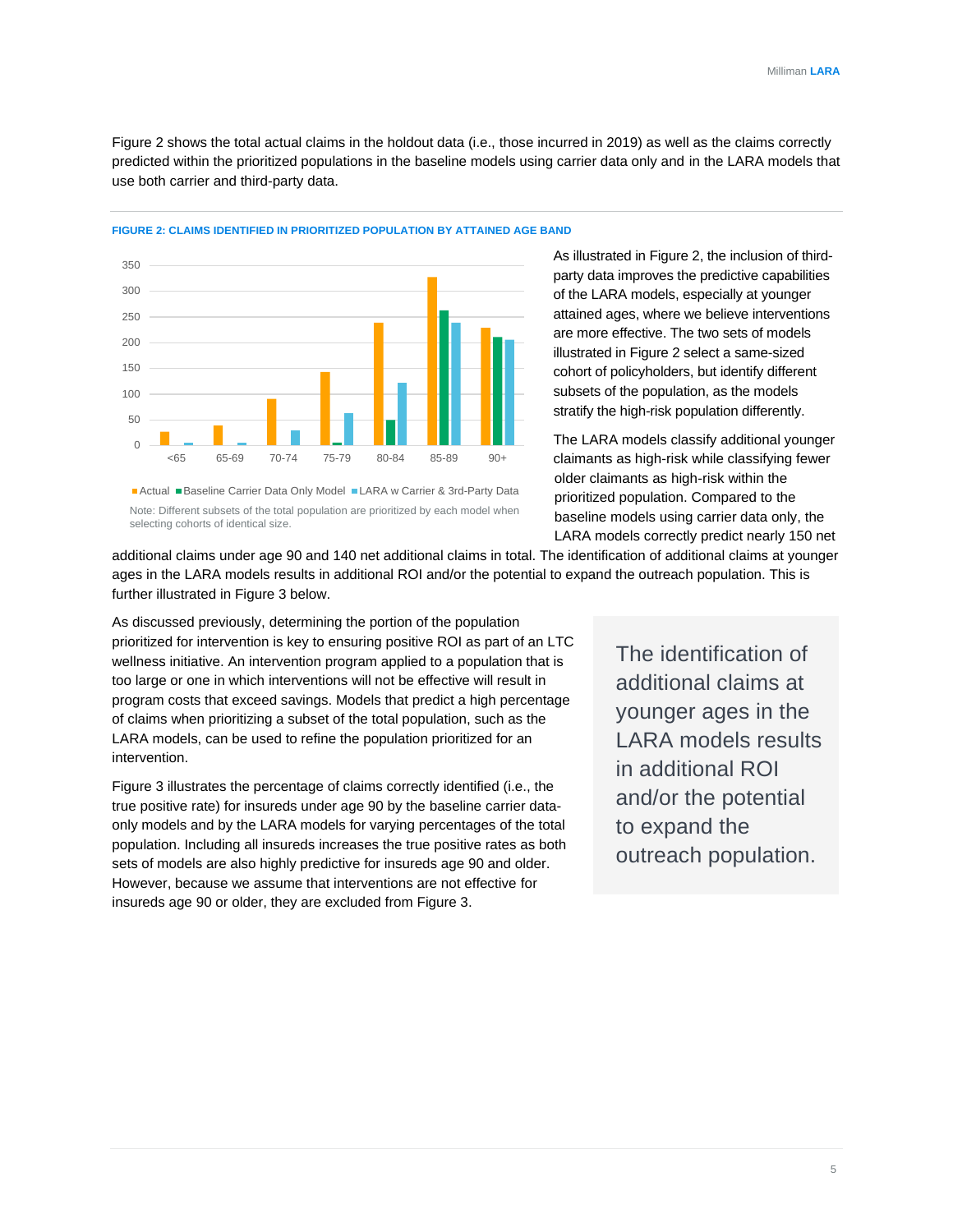Figure 2 shows the total actual claims in the holdout data (i.e., those incurred in 2019) as well as the claims correctly predicted within the prioritized populations in the baseline models using carrier data only and in the LARA models that use both carrier and third-party data.

 $\Omega$ 50 100 150 200 250 300 350 <65 65-69 70-74 75-79 80-84 85-89 90+

**FIGURE 2: CLAIMS IDENTIFIED IN PRIORITIZED POPULATION BY ATTAINED AGE BAND**

■ Actual ■ Baseline Carrier Data Only Model ■ LARA w Carrier & 3rd-Party Data Note: Different subsets of the total population are prioritized by each model when selecting cohorts of identical size.

As illustrated in Figure 2, the inclusion of thirdparty data improves the predictive capabilities of the LARA models, especially at younger attained ages, where we believe interventions are more effective. The two sets of models illustrated in Figure 2 select a same-sized cohort of policyholders, but identify different subsets of the population, as the models stratify the high-risk population differently.

The LARA models classify additional younger claimants as high-risk while classifying fewer older claimants as high-risk within the prioritized population. Compared to the baseline models using carrier data only, the LARA models correctly predict nearly 150 net

additional claims under age 90 and 140 net additional claims in total. The identification of additional claims at younger ages in the LARA models results in additional ROI and/or the potential to expand the outreach population. This is further illustrated in Figure 3 below.

As discussed previously, determining the portion of the population prioritized for intervention is key to ensuring positive ROI as part of an LTC wellness initiative. An intervention program applied to a population that is too large or one in which interventions will not be effective will result in program costs that exceed savings. Models that predict a high percentage of claims when prioritizing a subset of the total population, such as the LARA models, can be used to refine the population prioritized for an intervention.

Figure 3 illustrates the percentage of claims correctly identified (i.e., the true positive rate) for insureds under age 90 by the baseline carrier dataonly models and by the LARA models for varying percentages of the total population. Including all insureds increases the true positive rates as both sets of models are also highly predictive for insureds age 90 and older. However, because we assume that interventions are not effective for insureds age 90 or older, they are excluded from Figure 3.

The identification of additional claims at younger ages in the LARA models results in additional ROI and/or the potential to expand the outreach population.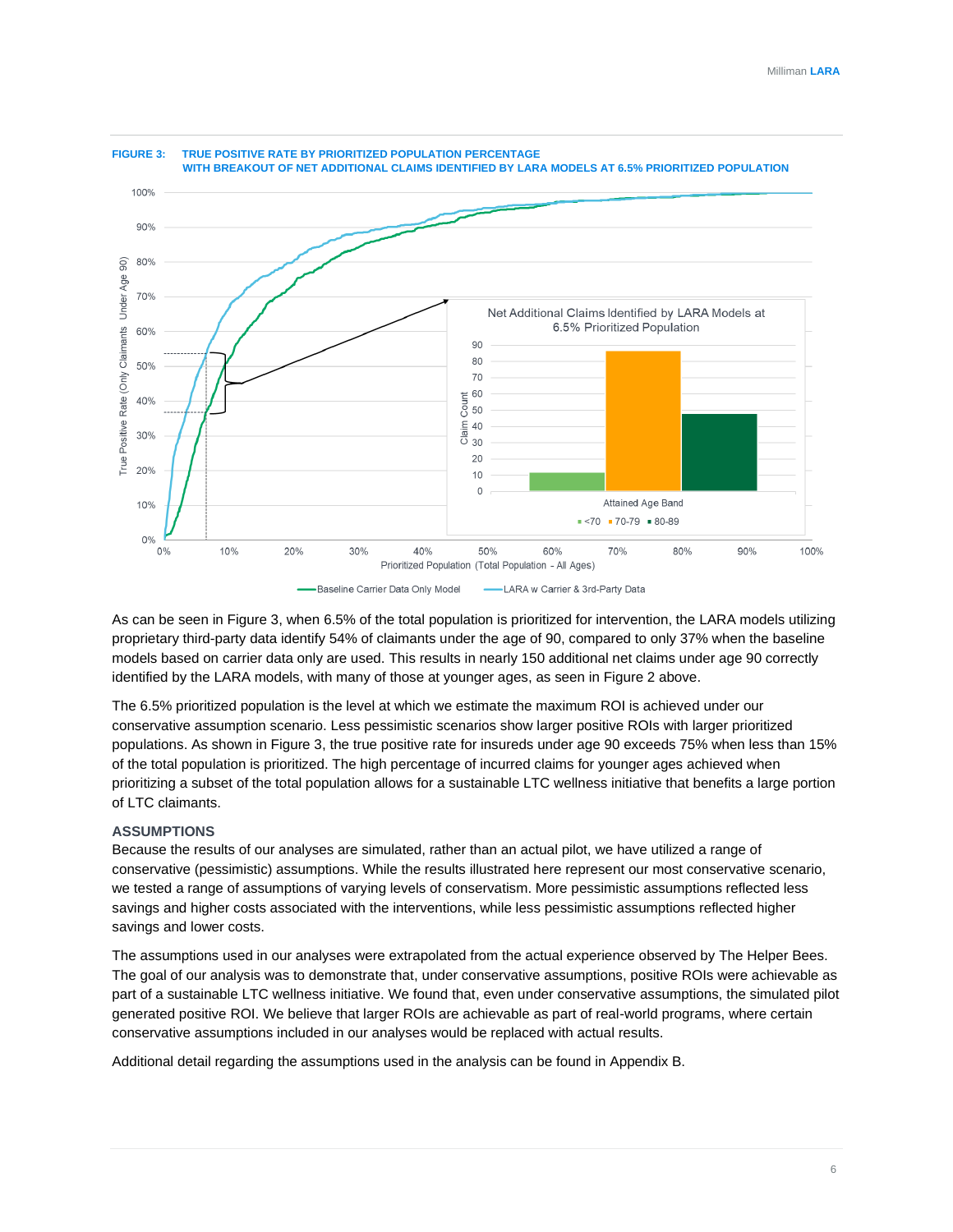

As can be seen in Figure 3, when 6.5% of the total population is prioritized for intervention, the LARA models utilizing proprietary third-party data identify 54% of claimants under the age of 90, compared to only 37% when the baseline models based on carrier data only are used. This results in nearly 150 additional net claims under age 90 correctly identified by the LARA models, with many of those at younger ages, as seen in Figure 2 above.

The 6.5% prioritized population is the level at which we estimate the maximum ROI is achieved under our conservative assumption scenario. Less pessimistic scenarios show larger positive ROIs with larger prioritized populations. As shown in Figure 3, the true positive rate for insureds under age 90 exceeds 75% when less than 15% of the total population is prioritized. The high percentage of incurred claims for younger ages achieved when prioritizing a subset of the total population allows for a sustainable LTC wellness initiative that benefits a large portion of LTC claimants.

#### **ASSUMPTIONS**

Because the results of our analyses are simulated, rather than an actual pilot, we have utilized a range of conservative (pessimistic) assumptions. While the results illustrated here represent our most conservative scenario, we tested a range of assumptions of varying levels of conservatism. More pessimistic assumptions reflected less savings and higher costs associated with the interventions, while less pessimistic assumptions reflected higher savings and lower costs.

The assumptions used in our analyses were extrapolated from the actual experience observed by The Helper Bees. The goal of our analysis was to demonstrate that, under conservative assumptions, positive ROIs were achievable as part of a sustainable LTC wellness initiative. We found that, even under conservative assumptions, the simulated pilot generated positive ROI. We believe that larger ROIs are achievable as part of real-world programs, where certain conservative assumptions included in our analyses would be replaced with actual results.

Additional detail regarding the assumptions used in the analysis can be found in Appendix B.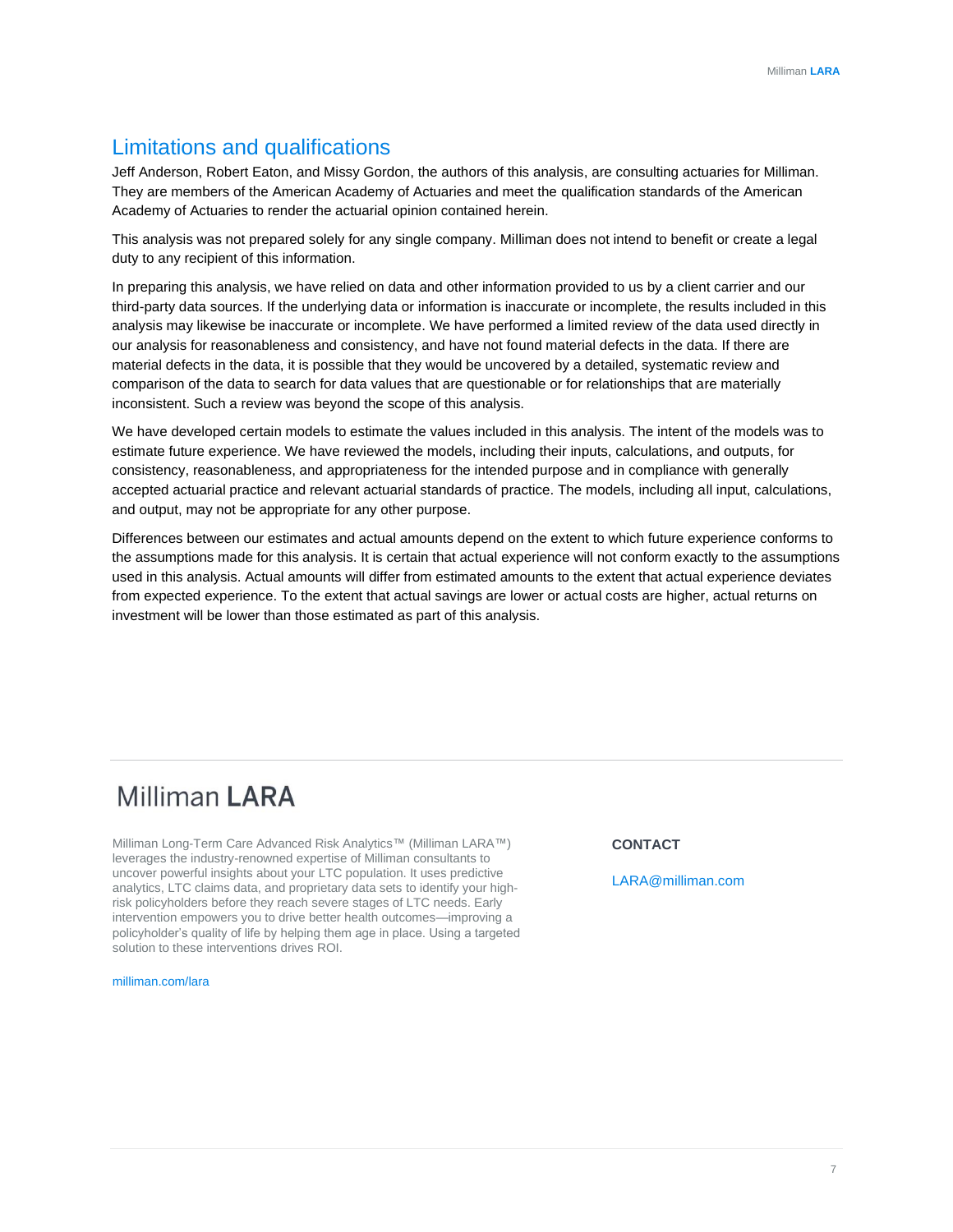## Limitations and qualifications

Jeff Anderson, Robert Eaton, and Missy Gordon, the authors of this analysis, are consulting actuaries for Milliman. They are members of the American Academy of Actuaries and meet the qualification standards of the American Academy of Actuaries to render the actuarial opinion contained herein.

This analysis was not prepared solely for any single company. Milliman does not intend to benefit or create a legal duty to any recipient of this information.

In preparing this analysis, we have relied on data and other information provided to us by a client carrier and our third-party data sources. If the underlying data or information is inaccurate or incomplete, the results included in this analysis may likewise be inaccurate or incomplete. We have performed a limited review of the data used directly in our analysis for reasonableness and consistency, and have not found material defects in the data. If there are material defects in the data, it is possible that they would be uncovered by a detailed, systematic review and comparison of the data to search for data values that are questionable or for relationships that are materially inconsistent. Such a review was beyond the scope of this analysis.

We have developed certain models to estimate the values included in this analysis. The intent of the models was to estimate future experience. We have reviewed the models, including their inputs, calculations, and outputs, for consistency, reasonableness, and appropriateness for the intended purpose and in compliance with generally accepted actuarial practice and relevant actuarial standards of practice. The models, including all input, calculations, and output, may not be appropriate for any other purpose.

Differences between our estimates and actual amounts depend on the extent to which future experience conforms to the assumptions made for this analysis. It is certain that actual experience will not conform exactly to the assumptions used in this analysis. Actual amounts will differ from estimated amounts to the extent that actual experience deviates from expected experience. To the extent that actual savings are lower or actual costs are higher, actual returns on investment will be lower than those estimated as part of this analysis.

## **Milliman LARA**

Milliman Long-Term Care Advanced Risk Analytics™ (Milliman LARA™) leverages the industry-renowned expertise of Milliman consultants to uncover powerful insights about your LTC population. It uses predictive analytics, LTC claims data, and proprietary data sets to identify your highrisk policyholders before they reach severe stages of LTC needs. Early intervention empowers you to drive better health outcomes—improving a policyholder's quality of life by helping them age in place. Using a targeted solution to these interventions drives ROI.

[milliman.com/lara](http://www.milliman.com/lara)

#### **CONTACT**

[LARA@milliman.com](mailto:LARA@milliman.com)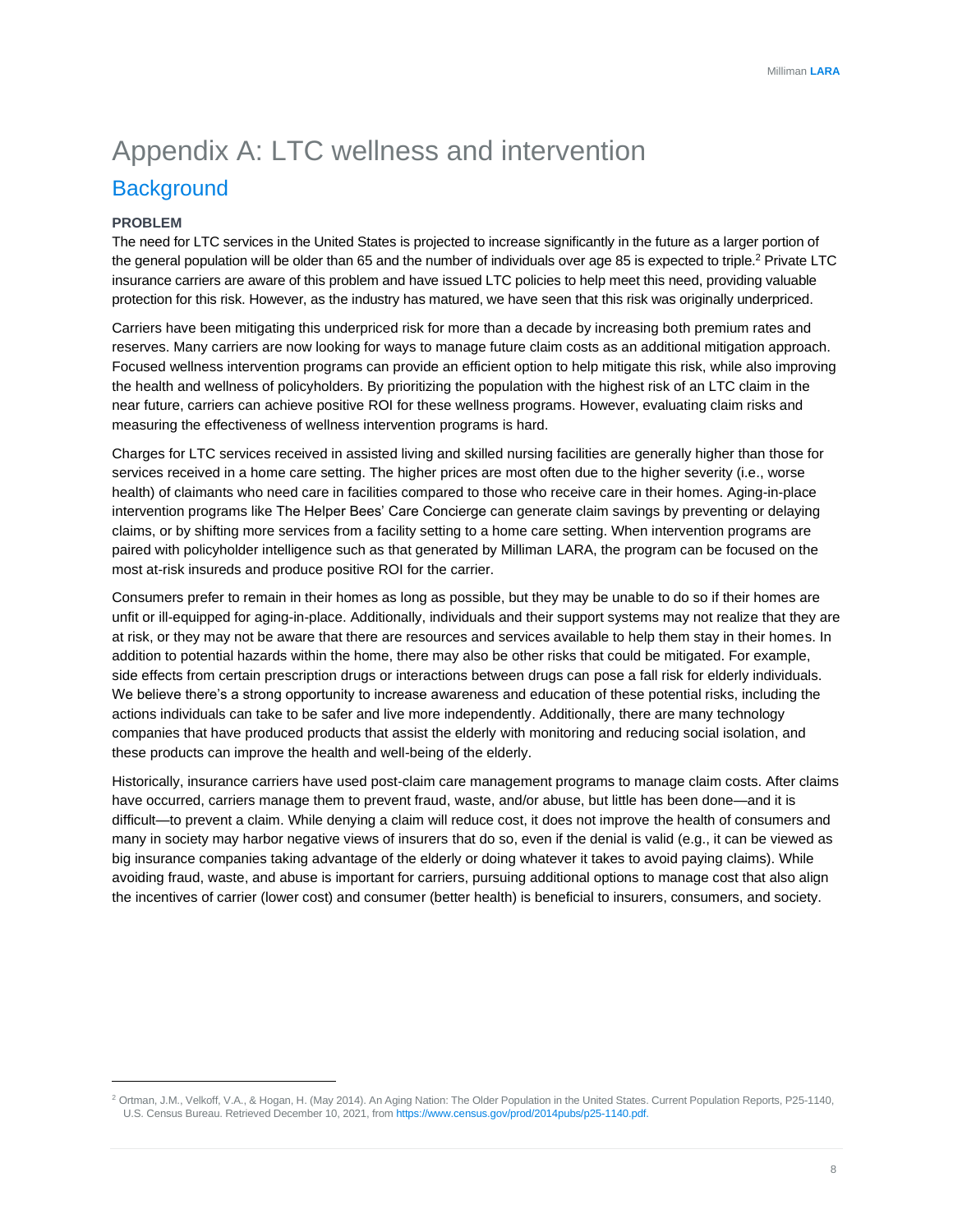## Appendix A: LTC wellness and intervention **Background**

#### **PROBLEM**

The need for LTC services in the United States is projected to increase significantly in the future as a larger portion of the general population will be older than 65 and the number of individuals over age 85 is expected to triple.<sup>2</sup> Private LTC insurance carriers are aware of this problem and have issued LTC policies to help meet this need, providing valuable protection for this risk. However, as the industry has matured, we have seen that this risk was originally underpriced.

Carriers have been mitigating this underpriced risk for more than a decade by increasing both premium rates and reserves. Many carriers are now looking for ways to manage future claim costs as an additional mitigation approach. Focused wellness intervention programs can provide an efficient option to help mitigate this risk, while also improving the health and wellness of policyholders. By prioritizing the population with the highest risk of an LTC claim in the near future, carriers can achieve positive ROI for these wellness programs. However, evaluating claim risks and measuring the effectiveness of wellness intervention programs is hard.

Charges for LTC services received in assisted living and skilled nursing facilities are generally higher than those for services received in a home care setting. The higher prices are most often due to the higher severity (i.e., worse health) of claimants who need care in facilities compared to those who receive care in their homes. Aging-in-place intervention programs like The Helper Bees' Care Concierge can generate claim savings by preventing or delaying claims, or by shifting more services from a facility setting to a home care setting. When intervention programs are paired with policyholder intelligence such as that generated by Milliman LARA, the program can be focused on the most at-risk insureds and produce positive ROI for the carrier.

Consumers prefer to remain in their homes as long as possible, but they may be unable to do so if their homes are unfit or ill-equipped for aging-in-place. Additionally, individuals and their support systems may not realize that they are at risk, or they may not be aware that there are resources and services available to help them stay in their homes. In addition to potential hazards within the home, there may also be other risks that could be mitigated. For example, side effects from certain prescription drugs or interactions between drugs can pose a fall risk for elderly individuals. We believe there's a strong opportunity to increase awareness and education of these potential risks, including the actions individuals can take to be safer and live more independently. Additionally, there are many technology companies that have produced products that assist the elderly with monitoring and reducing social isolation, and these products can improve the health and well-being of the elderly.

Historically, insurance carriers have used post-claim care management programs to manage claim costs. After claims have occurred, carriers manage them to prevent fraud, waste, and/or abuse, but little has been done—and it is difficult—to prevent a claim. While denying a claim will reduce cost, it does not improve the health of consumers and many in society may harbor negative views of insurers that do so, even if the denial is valid (e.g., it can be viewed as big insurance companies taking advantage of the elderly or doing whatever it takes to avoid paying claims). While avoiding fraud, waste, and abuse is important for carriers, pursuing additional options to manage cost that also align the incentives of carrier (lower cost) and consumer (better health) is beneficial to insurers, consumers, and society.

<sup>2</sup> Ortman, J.M., Velkoff, V.A., & Hogan, H. (May 2014). An Aging Nation: The Older Population in the United States. Current Population Reports, P25-1140, U.S. Census Bureau. Retrieved December 10, 2021, fro[m https://www.census.gov/prod/2014pubs/p25-1140.pdf.](https://www.census.gov/prod/2014pubs/p25-1140.pdf)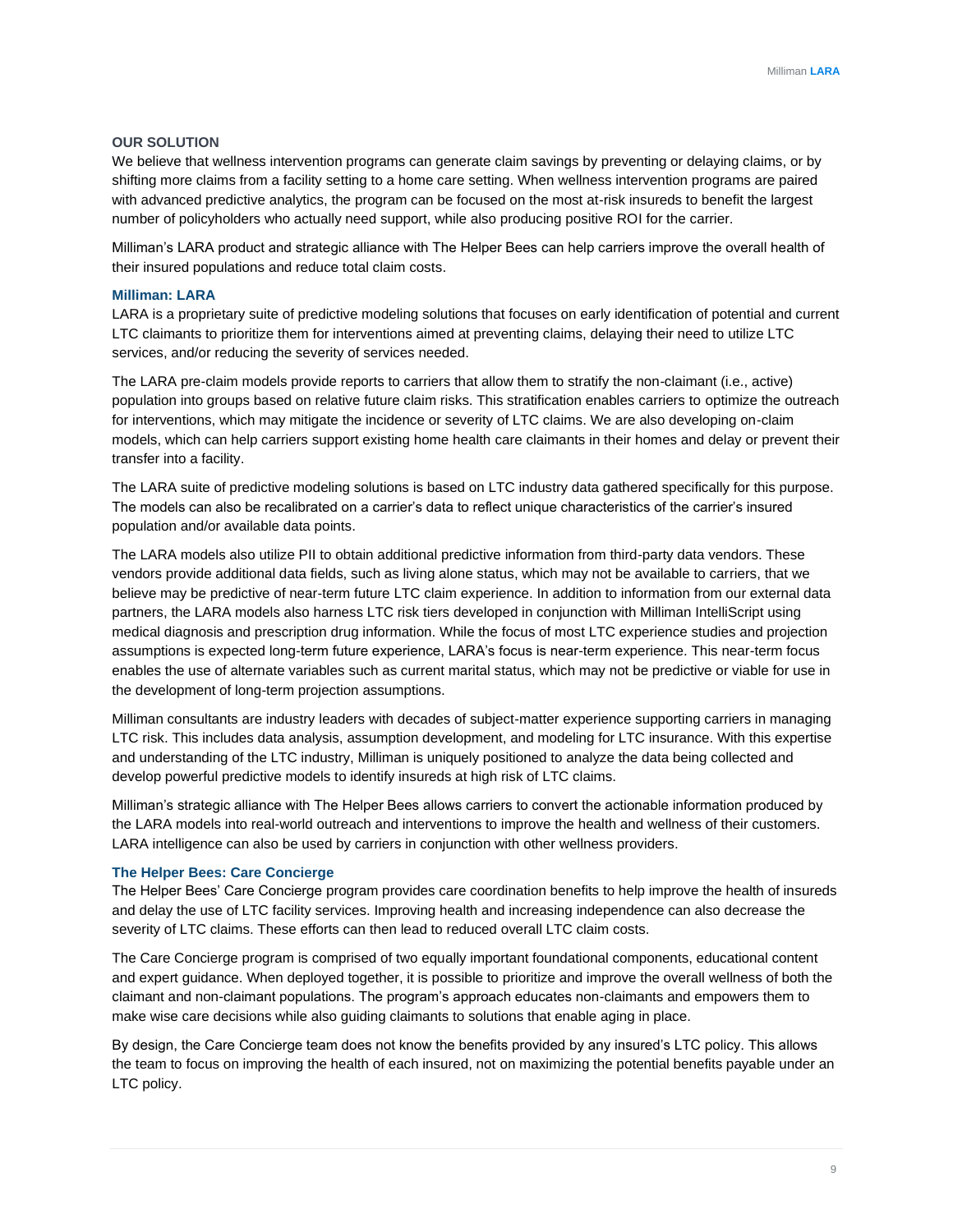#### **OUR SOLUTION**

We believe that wellness intervention programs can generate claim savings by preventing or delaying claims, or by shifting more claims from a facility setting to a home care setting. When wellness intervention programs are paired with advanced predictive analytics, the program can be focused on the most at-risk insureds to benefit the largest number of policyholders who actually need support, while also producing positive ROI for the carrier.

Milliman's LARA product and strategic alliance with The Helper Bees can help carriers improve the overall health of their insured populations and reduce total claim costs.

#### **Milliman: LARA**

LARA is a proprietary suite of predictive modeling solutions that focuses on early identification of potential and current LTC claimants to prioritize them for interventions aimed at preventing claims, delaying their need to utilize LTC services, and/or reducing the severity of services needed.

The LARA pre-claim models provide reports to carriers that allow them to stratify the non-claimant (i.e., active) population into groups based on relative future claim risks. This stratification enables carriers to optimize the outreach for interventions, which may mitigate the incidence or severity of LTC claims. We are also developing on-claim models, which can help carriers support existing home health care claimants in their homes and delay or prevent their transfer into a facility.

The LARA suite of predictive modeling solutions is based on LTC industry data gathered specifically for this purpose. The models can also be recalibrated on a carrier's data to reflect unique characteristics of the carrier's insured population and/or available data points.

The LARA models also utilize PII to obtain additional predictive information from third-party data vendors. These vendors provide additional data fields, such as living alone status, which may not be available to carriers, that we believe may be predictive of near-term future LTC claim experience. In addition to information from our external data partners, the LARA models also harness LTC risk tiers developed in conjunction with Milliman IntelliScript using medical diagnosis and prescription drug information. While the focus of most LTC experience studies and projection assumptions is expected long-term future experience, LARA's focus is near-term experience. This near-term focus enables the use of alternate variables such as current marital status, which may not be predictive or viable for use in the development of long-term projection assumptions.

Milliman consultants are industry leaders with decades of subject-matter experience supporting carriers in managing LTC risk. This includes data analysis, assumption development, and modeling for LTC insurance. With this expertise and understanding of the LTC industry, Milliman is uniquely positioned to analyze the data being collected and develop powerful predictive models to identify insureds at high risk of LTC claims.

Milliman's strategic alliance with The Helper Bees allows carriers to convert the actionable information produced by the LARA models into real-world outreach and interventions to improve the health and wellness of their customers. LARA intelligence can also be used by carriers in conjunction with other wellness providers.

#### **The Helper Bees: Care Concierge**

The Helper Bees' Care Concierge program provides care coordination benefits to help improve the health of insureds and delay the use of LTC facility services. Improving health and increasing independence can also decrease the severity of LTC claims. These efforts can then lead to reduced overall LTC claim costs.

The Care Concierge program is comprised of two equally important foundational components, educational content and expert guidance. When deployed together, it is possible to prioritize and improve the overall wellness of both the claimant and non-claimant populations. The program's approach educates non-claimants and empowers them to make wise care decisions while also guiding claimants to solutions that enable aging in place.

By design, the Care Concierge team does not know the benefits provided by any insured's LTC policy. This allows the team to focus on improving the health of each insured, not on maximizing the potential benefits payable under an LTC policy.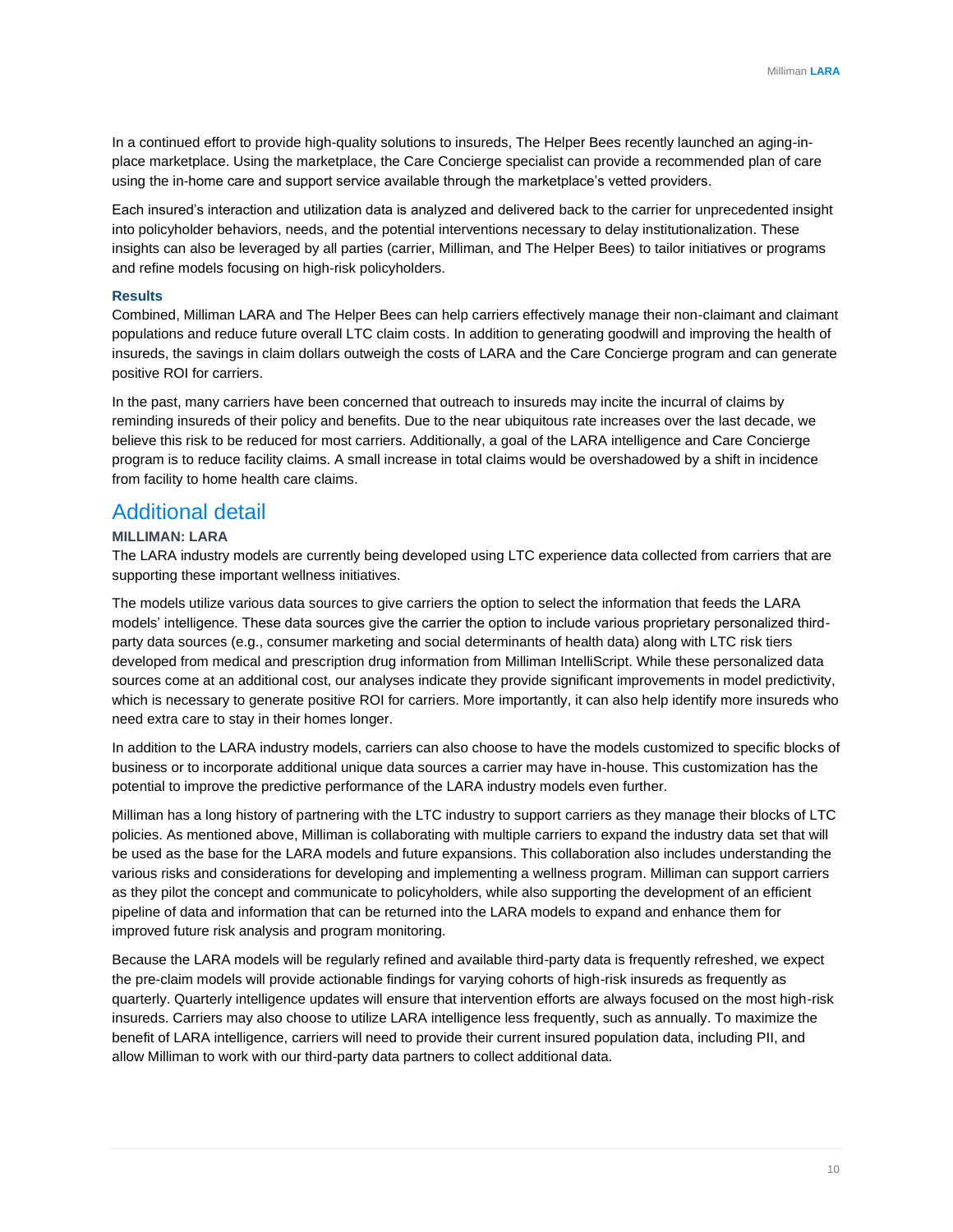In a continued effort to provide high-quality solutions to insureds, The Helper Bees recently launched an aging-inplace marketplace. Using the marketplace, the Care Concierge specialist can provide a recommended plan of care using the in-home care and support service available through the marketplace's vetted providers.

Each insured's interaction and utilization data is analyzed and delivered back to the carrier for unprecedented insight into policyholder behaviors, needs, and the potential interventions necessary to delay institutionalization. These insights can also be leveraged by all parties (carrier, Milliman, and The Helper Bees) to tailor initiatives or programs and refine models focusing on high-risk policyholders.

#### **Results**

Combined, Milliman LARA and The Helper Bees can help carriers effectively manage their non-claimant and claimant populations and reduce future overall LTC claim costs. In addition to generating goodwill and improving the health of insureds, the savings in claim dollars outweigh the costs of LARA and the Care Concierge program and can generate positive ROI for carriers.

In the past, many carriers have been concerned that outreach to insureds may incite the incurral of claims by reminding insureds of their policy and benefits. Due to the near ubiquitous rate increases over the last decade, we believe this risk to be reduced for most carriers. Additionally, a goal of the LARA intelligence and Care Concierge program is to reduce facility claims. A small increase in total claims would be overshadowed by a shift in incidence from facility to home health care claims.

### Additional detail

#### **MILLIMAN: LARA**

The LARA industry models are currently being developed using LTC experience data collected from carriers that are supporting these important wellness initiatives.

The models utilize various data sources to give carriers the option to select the information that feeds the LARA models' intelligence. These data sources give the carrier the option to include various proprietary personalized thirdparty data sources (e.g., consumer marketing and social determinants of health data) along with LTC risk tiers developed from medical and prescription drug information from Milliman IntelliScript. While these personalized data sources come at an additional cost, our analyses indicate they provide significant improvements in model predictivity, which is necessary to generate positive ROI for carriers. More importantly, it can also help identify more insureds who need extra care to stay in their homes longer.

In addition to the LARA industry models, carriers can also choose to have the models customized to specific blocks of business or to incorporate additional unique data sources a carrier may have in-house. This customization has the potential to improve the predictive performance of the LARA industry models even further.

Milliman has a long history of partnering with the LTC industry to support carriers as they manage their blocks of LTC policies. As mentioned above, Milliman is collaborating with multiple carriers to expand the industry data set that will be used as the base for the LARA models and future expansions. This collaboration also includes understanding the various risks and considerations for developing and implementing a wellness program. Milliman can support carriers as they pilot the concept and communicate to policyholders, while also supporting the development of an efficient pipeline of data and information that can be returned into the LARA models to expand and enhance them for improved future risk analysis and program monitoring.

Because the LARA models will be regularly refined and available third-party data is frequently refreshed, we expect the pre-claim models will provide actionable findings for varying cohorts of high-risk insureds as frequently as quarterly. Quarterly intelligence updates will ensure that intervention efforts are always focused on the most high-risk insureds. Carriers may also choose to utilize LARA intelligence less frequently, such as annually. To maximize the benefit of LARA intelligence, carriers will need to provide their current insured population data, including PII, and allow Milliman to work with our third-party data partners to collect additional data.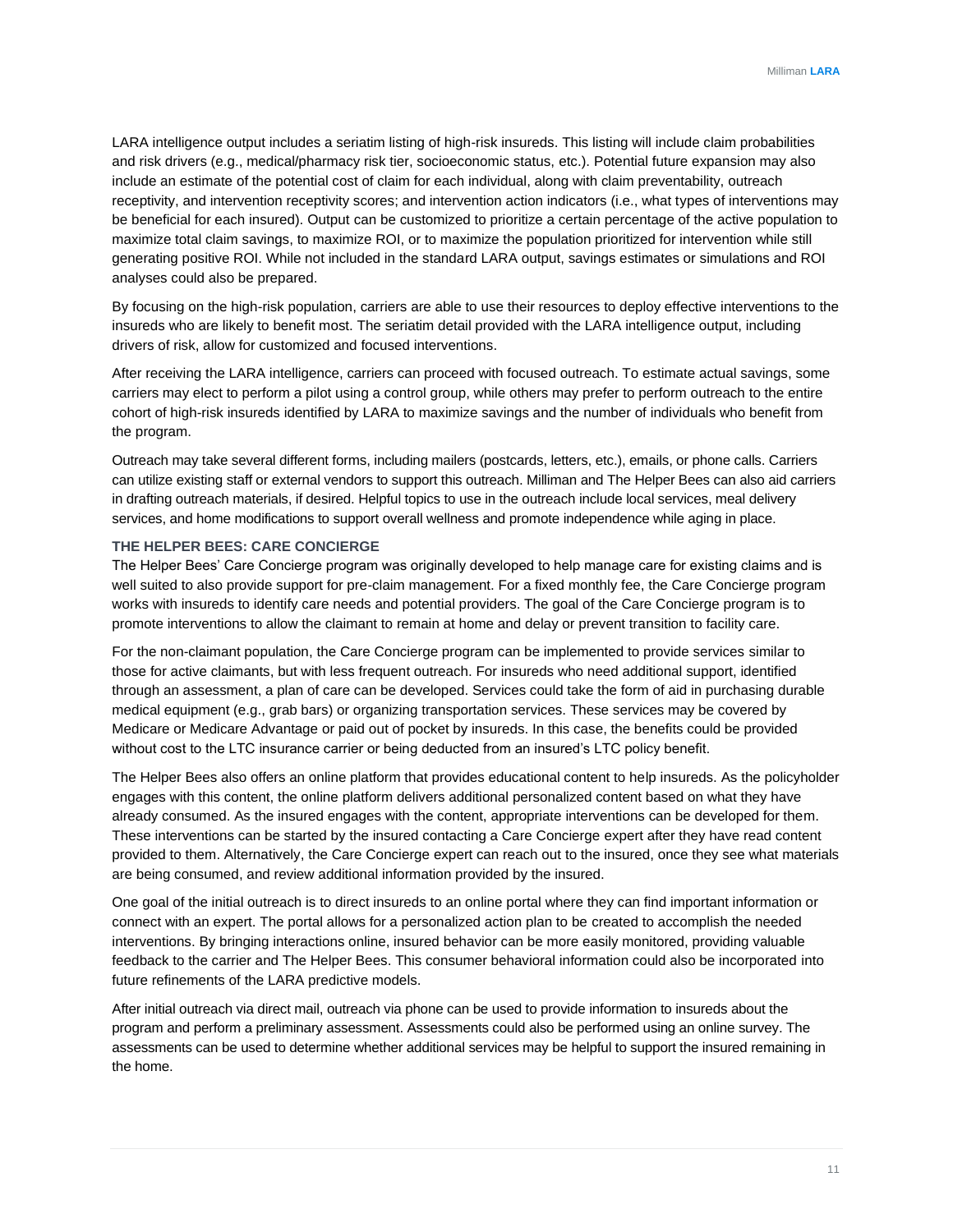LARA intelligence output includes a seriatim listing of high-risk insureds. This listing will include claim probabilities and risk drivers (e.g., medical/pharmacy risk tier, socioeconomic status, etc.). Potential future expansion may also include an estimate of the potential cost of claim for each individual, along with claim preventability, outreach receptivity, and intervention receptivity scores; and intervention action indicators (i.e., what types of interventions may be beneficial for each insured). Output can be customized to prioritize a certain percentage of the active population to maximize total claim savings, to maximize ROI, or to maximize the population prioritized for intervention while still generating positive ROI. While not included in the standard LARA output, savings estimates or simulations and ROI analyses could also be prepared.

By focusing on the high-risk population, carriers are able to use their resources to deploy effective interventions to the insureds who are likely to benefit most. The seriatim detail provided with the LARA intelligence output, including drivers of risk, allow for customized and focused interventions.

After receiving the LARA intelligence, carriers can proceed with focused outreach. To estimate actual savings, some carriers may elect to perform a pilot using a control group, while others may prefer to perform outreach to the entire cohort of high-risk insureds identified by LARA to maximize savings and the number of individuals who benefit from the program.

Outreach may take several different forms, including mailers (postcards, letters, etc.), emails, or phone calls. Carriers can utilize existing staff or external vendors to support this outreach. Milliman and The Helper Bees can also aid carriers in drafting outreach materials, if desired. Helpful topics to use in the outreach include local services, meal delivery services, and home modifications to support overall wellness and promote independence while aging in place.

#### **THE HELPER BEES: CARE CONCIERGE**

The Helper Bees' Care Concierge program was originally developed to help manage care for existing claims and is well suited to also provide support for pre-claim management. For a fixed monthly fee, the Care Concierge program works with insureds to identify care needs and potential providers. The goal of the Care Concierge program is to promote interventions to allow the claimant to remain at home and delay or prevent transition to facility care.

For the non-claimant population, the Care Concierge program can be implemented to provide services similar to those for active claimants, but with less frequent outreach. For insureds who need additional support, identified through an assessment, a plan of care can be developed. Services could take the form of aid in purchasing durable medical equipment (e.g., grab bars) or organizing transportation services. These services may be covered by Medicare or Medicare Advantage or paid out of pocket by insureds. In this case, the benefits could be provided without cost to the LTC insurance carrier or being deducted from an insured's LTC policy benefit.

The Helper Bees also offers an online platform that provides educational content to help insureds. As the policyholder engages with this content, the online platform delivers additional personalized content based on what they have already consumed. As the insured engages with the content, appropriate interventions can be developed for them. These interventions can be started by the insured contacting a Care Concierge expert after they have read content provided to them. Alternatively, the Care Concierge expert can reach out to the insured, once they see what materials are being consumed, and review additional information provided by the insured.

One goal of the initial outreach is to direct insureds to an online portal where they can find important information or connect with an expert. The portal allows for a personalized action plan to be created to accomplish the needed interventions. By bringing interactions online, insured behavior can be more easily monitored, providing valuable feedback to the carrier and The Helper Bees. This consumer behavioral information could also be incorporated into future refinements of the LARA predictive models.

After initial outreach via direct mail, outreach via phone can be used to provide information to insureds about the program and perform a preliminary assessment. Assessments could also be performed using an online survey. The assessments can be used to determine whether additional services may be helpful to support the insured remaining in the home.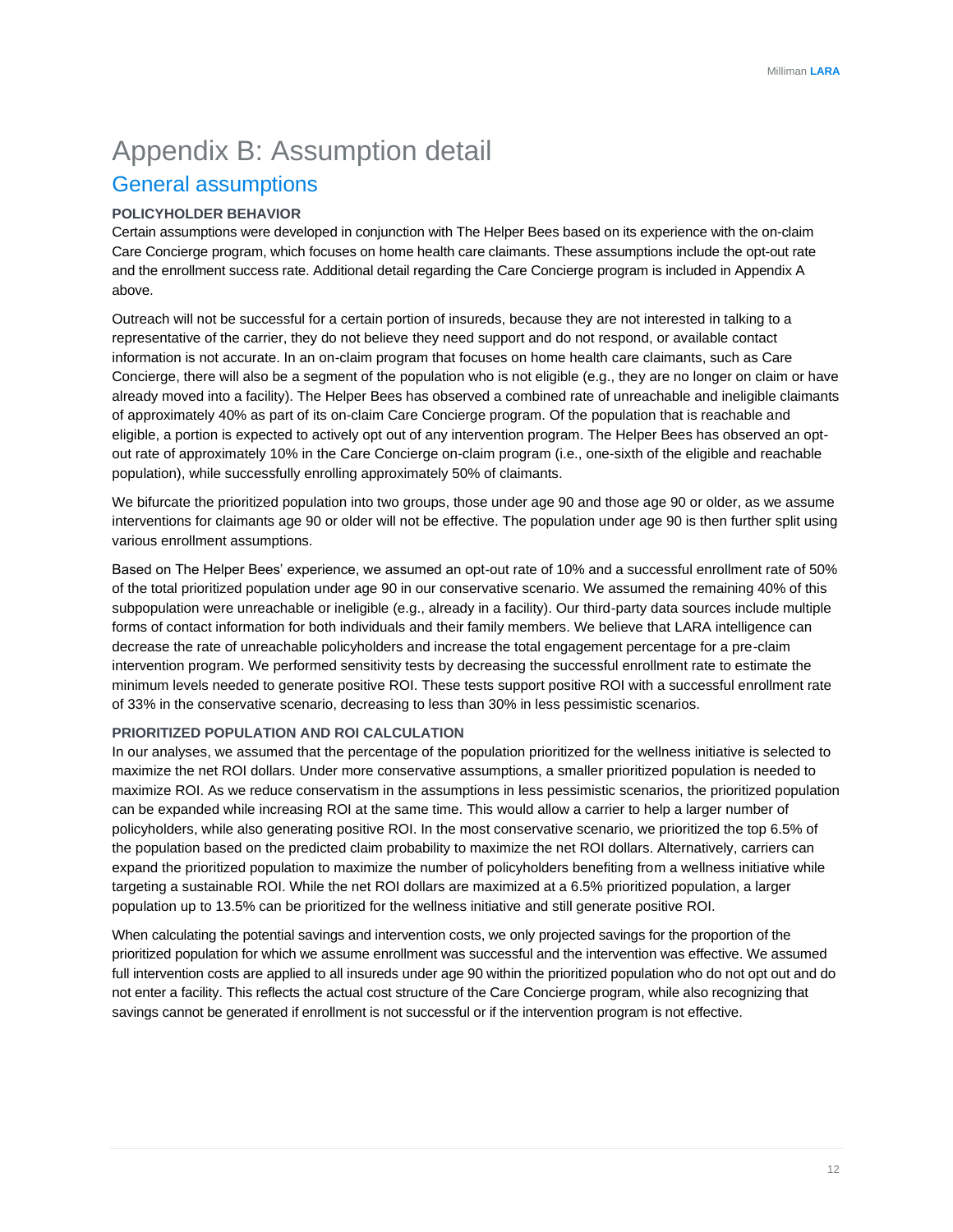## Appendix B: Assumption detail General assumptions

#### **POLICYHOLDER BEHAVIOR**

Certain assumptions were developed in conjunction with The Helper Bees based on its experience with the on-claim Care Concierge program, which focuses on home health care claimants. These assumptions include the opt-out rate and the enrollment success rate. Additional detail regarding the Care Concierge program is included in Appendix A above.

Outreach will not be successful for a certain portion of insureds, because they are not interested in talking to a representative of the carrier, they do not believe they need support and do not respond, or available contact information is not accurate. In an on-claim program that focuses on home health care claimants, such as Care Concierge, there will also be a segment of the population who is not eligible (e.g., they are no longer on claim or have already moved into a facility). The Helper Bees has observed a combined rate of unreachable and ineligible claimants of approximately 40% as part of its on-claim Care Concierge program. Of the population that is reachable and eligible, a portion is expected to actively opt out of any intervention program. The Helper Bees has observed an optout rate of approximately 10% in the Care Concierge on-claim program (i.e., one-sixth of the eligible and reachable population), while successfully enrolling approximately 50% of claimants.

We bifurcate the prioritized population into two groups, those under age 90 and those age 90 or older, as we assume interventions for claimants age 90 or older will not be effective. The population under age 90 is then further split using various enrollment assumptions.

Based on The Helper Bees' experience, we assumed an opt-out rate of 10% and a successful enrollment rate of 50% of the total prioritized population under age 90 in our conservative scenario. We assumed the remaining 40% of this subpopulation were unreachable or ineligible (e.g., already in a facility). Our third-party data sources include multiple forms of contact information for both individuals and their family members. We believe that LARA intelligence can decrease the rate of unreachable policyholders and increase the total engagement percentage for a pre-claim intervention program. We performed sensitivity tests by decreasing the successful enrollment rate to estimate the minimum levels needed to generate positive ROI. These tests support positive ROI with a successful enrollment rate of 33% in the conservative scenario, decreasing to less than 30% in less pessimistic scenarios.

#### **PRIORITIZED POPULATION AND ROI CALCULATION**

In our analyses, we assumed that the percentage of the population prioritized for the wellness initiative is selected to maximize the net ROI dollars. Under more conservative assumptions, a smaller prioritized population is needed to maximize ROI. As we reduce conservatism in the assumptions in less pessimistic scenarios, the prioritized population can be expanded while increasing ROI at the same time. This would allow a carrier to help a larger number of policyholders, while also generating positive ROI. In the most conservative scenario, we prioritized the top 6.5% of the population based on the predicted claim probability to maximize the net ROI dollars. Alternatively, carriers can expand the prioritized population to maximize the number of policyholders benefiting from a wellness initiative while targeting a sustainable ROI. While the net ROI dollars are maximized at a 6.5% prioritized population, a larger population up to 13.5% can be prioritized for the wellness initiative and still generate positive ROI.

When calculating the potential savings and intervention costs, we only projected savings for the proportion of the prioritized population for which we assume enrollment was successful and the intervention was effective. We assumed full intervention costs are applied to all insureds under age 90 within the prioritized population who do not opt out and do not enter a facility. This reflects the actual cost structure of the Care Concierge program, while also recognizing that savings cannot be generated if enrollment is not successful or if the intervention program is not effective.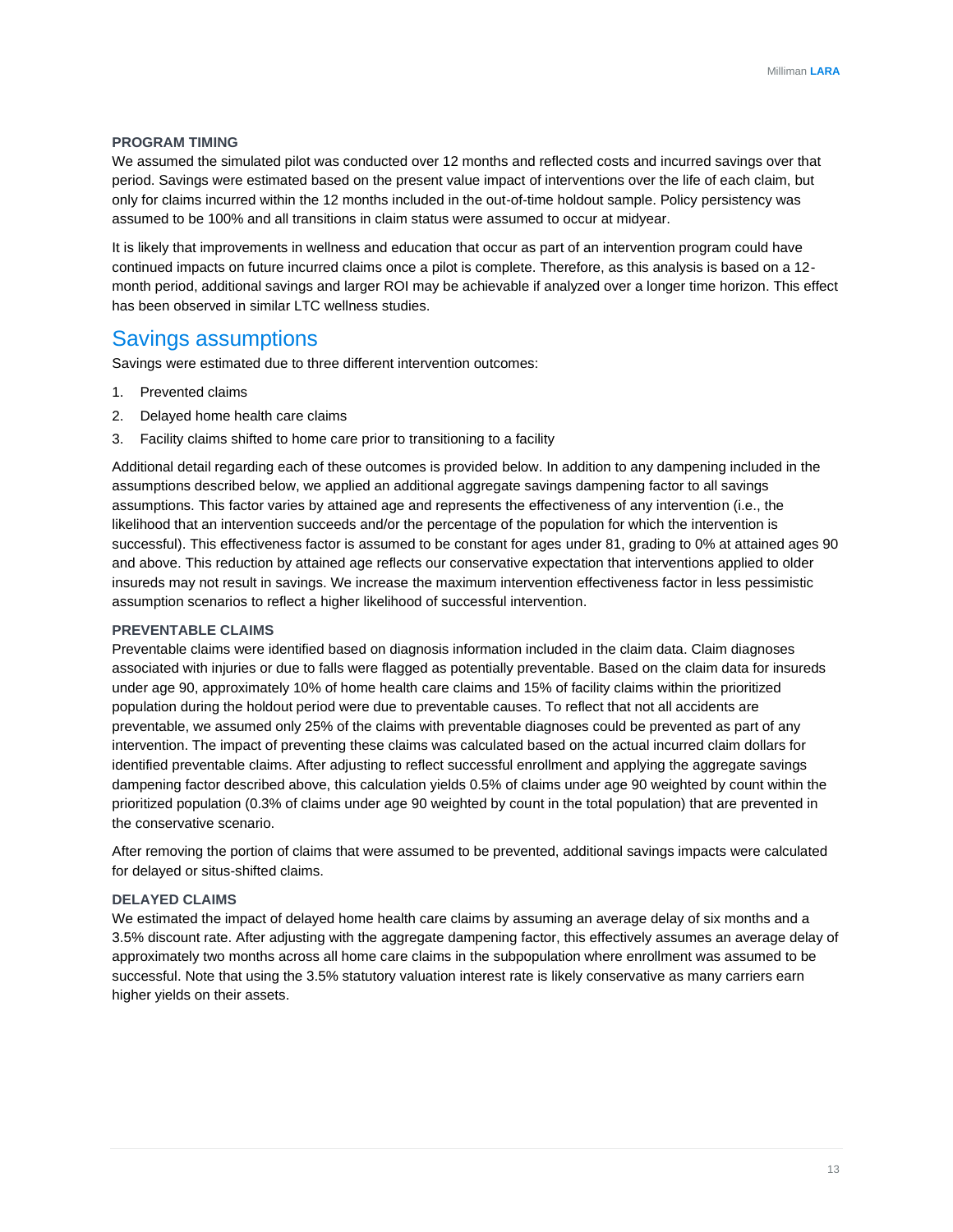#### **PROGRAM TIMING**

We assumed the simulated pilot was conducted over 12 months and reflected costs and incurred savings over that period. Savings were estimated based on the present value impact of interventions over the life of each claim, but only for claims incurred within the 12 months included in the out-of-time holdout sample. Policy persistency was assumed to be 100% and all transitions in claim status were assumed to occur at midyear.

It is likely that improvements in wellness and education that occur as part of an intervention program could have continued impacts on future incurred claims once a pilot is complete. Therefore, as this analysis is based on a 12 month period, additional savings and larger ROI may be achievable if analyzed over a longer time horizon. This effect has been observed in similar LTC wellness studies.

### Savings assumptions

Savings were estimated due to three different intervention outcomes:

- 1. Prevented claims
- 2. Delayed home health care claims
- 3. Facility claims shifted to home care prior to transitioning to a facility

Additional detail regarding each of these outcomes is provided below. In addition to any dampening included in the assumptions described below, we applied an additional aggregate savings dampening factor to all savings assumptions. This factor varies by attained age and represents the effectiveness of any intervention (i.e., the likelihood that an intervention succeeds and/or the percentage of the population for which the intervention is successful). This effectiveness factor is assumed to be constant for ages under 81, grading to 0% at attained ages 90 and above. This reduction by attained age reflects our conservative expectation that interventions applied to older insureds may not result in savings. We increase the maximum intervention effectiveness factor in less pessimistic assumption scenarios to reflect a higher likelihood of successful intervention.

#### **PREVENTABLE CLAIMS**

Preventable claims were identified based on diagnosis information included in the claim data. Claim diagnoses associated with injuries or due to falls were flagged as potentially preventable. Based on the claim data for insureds under age 90, approximately 10% of home health care claims and 15% of facility claims within the prioritized population during the holdout period were due to preventable causes. To reflect that not all accidents are preventable, we assumed only 25% of the claims with preventable diagnoses could be prevented as part of any intervention. The impact of preventing these claims was calculated based on the actual incurred claim dollars for identified preventable claims. After adjusting to reflect successful enrollment and applying the aggregate savings dampening factor described above, this calculation yields 0.5% of claims under age 90 weighted by count within the prioritized population (0.3% of claims under age 90 weighted by count in the total population) that are prevented in the conservative scenario.

After removing the portion of claims that were assumed to be prevented, additional savings impacts were calculated for delayed or situs-shifted claims.

#### **DELAYED CLAIMS**

We estimated the impact of delayed home health care claims by assuming an average delay of six months and a 3.5% discount rate. After adjusting with the aggregate dampening factor, this effectively assumes an average delay of approximately two months across all home care claims in the subpopulation where enrollment was assumed to be successful. Note that using the 3.5% statutory valuation interest rate is likely conservative as many carriers earn higher yields on their assets.